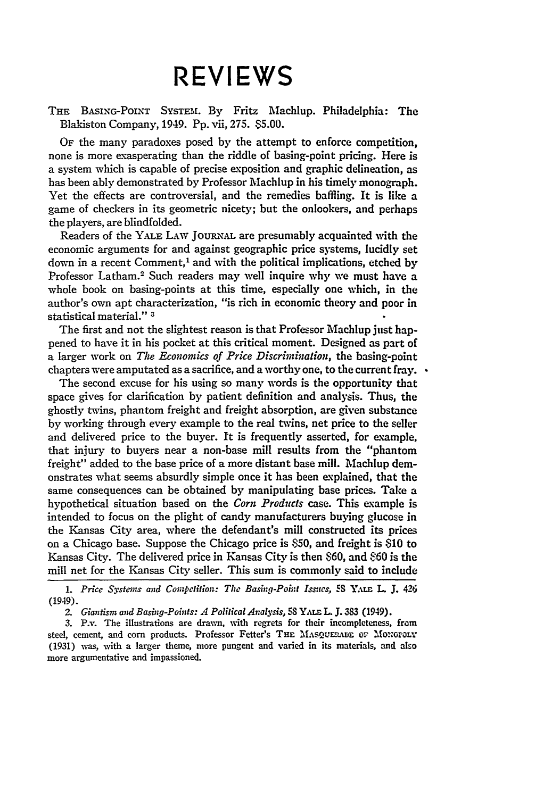## **REVIEWS**

THE BASING-POINT SYSTEM1. **By** Fritz Machlup. Philadelphia: The Blakiston Company, 1949. Pp. vii, 275. **\$5.00.**

OF the many paradoxes posed **by** the attempt to enforce competition, none is more exasperating than the riddle of basing-point pricing. Here is a system which is capable of precise exposition and graphic delineation, as has been ably demonstrated **by** Professor Machlup in his timely monograph. Yet the effects are controversial, and the remedies baffling. It is like a game of checkers in its geometric nicety; but the onlookers, and perhaps the players, are blindfolded.

Readers of the YALE LAW JOURNAL are presumably acquainted with the economic arguments for and against geographic price systems, lucidly set down in a recent Comment,' and with the political implications, etched by Professor Latham.<sup>2</sup> Such readers may well inquire why we must have a whole book on basing-points at this time, especially one which, in the author's own apt characterization, "is rich in economic theory and poor in statistical material." **3**

The first and not the slightest reason is that Professor Machlup just happened to have it in his pocket at this critical moment. Designed as part of a larger work on *The Economics of Price Discrimination,* the basing-point chapters were amputated as a sacrifice, and a worthy one, to the current fray.  $\cdot$ 

The second excuse for his using so many words is the opportunity that space gives for clarification **by** patient definition and analysis. Thus, the ghostly twins, phantom freight and freight absorption, are given substance **by** working through every example to the real twins, net price to the seller and delivered price to the buyer. It is frequently asserted, for example, that injury to buyers near a non-base mill results from the "phantom freight" added to the base price of a more distant base mill. Machlup demonstrates what seems absurdly simple once it has been explained, that the same consequences can be obtained **by** manipulating base prices. Take a hypothetical situation based on the *Corn Products* case. This example is intended to focus on the plight of candy manufacturers buying glucose in the Kansas City area, where the defendant's mill constructed its prices on a Chicago base. Suppose the Chicago price is **850,** and freight is **\$10** to Kansas City. The delivered price in Kansas City is then **860,** and **60** is the mill net for the Kansas City seller. This sum is commonly said to include

*1. Price Systems and Compeition: The Basing-Point Issues,* **S3 I.** L **J.** 426 (1949).

2. Giantism and Basing-Points: A Political Analysis, <sup>58</sup> YALE L. J. 383 (1949).

**3.** P.v. The illustrations are drawm, Nith regrets for their incompleteness, from steel, cement, and corn products. Professor Fetter's **THE MAsQUF'MAD oF** MOIODDLY (1931) was, with a larger theme, more pungent and varied in its materials, and also more argumentative and impassioned.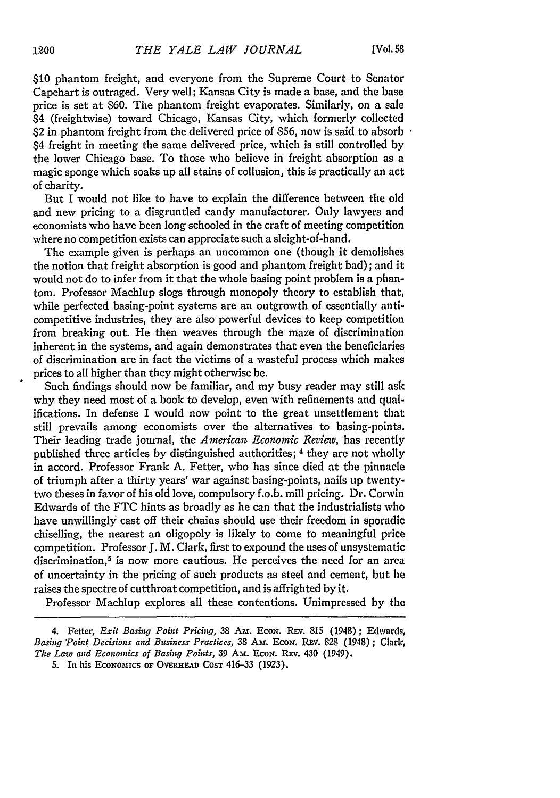**\$10** phantom freight, and everyone from the Supreme Court to Senator Capehart is outraged. Very well; Kansas City is made a base, and the base price is set at \$60. The phantom freight evaporates. Similarly, on a sale \$4 (freightwise) toward Chicago, Kansas City, which formerly collected S2 in phantom freight from the delivered price of \$56, now is said to absorb 84 freight in meeting the same delivered price, which is still controlled by the lower Chicago base. To those who believe in freight absorption as a magic sponge which soaks up all stains of collusion, this is practically an act of charity.

But I would not like to have to explain the difference between the old and new pricing to a disgruntled candy manufacturer. Only lawyers and economists who have been long schooled in the craft of meeting competition where no competition exists can appreciate such a sleight-of-hand.

The example given is perhaps an uncommon one (though it demolishes the notion that freight absorption is good and phantom freight bad); and it would not do to infer from it that the whole basing point problem is a phantom. Professor Machlup slogs through monopoly theory to establish that, while perfected basing-point systems are an outgrowth of essentially anticompetitive industries, they are also powerful devices to keep competition from breaking out. He then weaves through the maze of discrimination inherent in the systems, and again demonstrates that even the beneficiaries of discrimination are in fact the victims of a wasteful process which makes prices to all higher than they might otherwise be.

Such findings should now be familiar, and my busy reader may still ask why they need most of a book to develop, even with refinements and qualifications. In defense I would now point to the great unsettlement that still prevails among economists over the alternatives to basing-points. Their leading trade journal, the *American Economic Review,* has recently published three articles by distinguished authorities; 4 they are not wholly in accord. Professor Frank A. Fetter, who has since died at the pinnacle of triumph after a thirty years' war against basing-points, nails up twentytwo theses in favor of his old love, compulsory f.o.b. mill pricing. Dr. Corwin Edwards of the FTC hints as broadly as he can that the industrialists who have unwillingly cast off their chains should use their freedom in sporadic chiselling, the nearest an oligopoly is likely to come to meaningful price competition. Professor J. M. Clark, first to expound the uses of unsystematic discrimination,<sup>5</sup> is now more cautious. He perceives the need for an area of uncertainty in the pricing of such products as steel and cement, but **he** raises the spectre of cutthroat competition, and is affrighted by it,

Professor Machlup explores all these contentions. Unimpressed by the

<sup>4.</sup> Fetter, *Exit Basing Point Pricing*, 38 Am. Econ. Rev. 815 (1948); Edwards, *Basing Point Decisions and Business Practices, 38 AM. ECON. REV. 828 (1948); Clark, The Law and Economics of Basing Points, 39* Am. EcoN. REV. 430 (1949).

<sup>5.</sup> In his **EcONOMICS OF** OVERHEAD **COST** 416-33 **(1923),**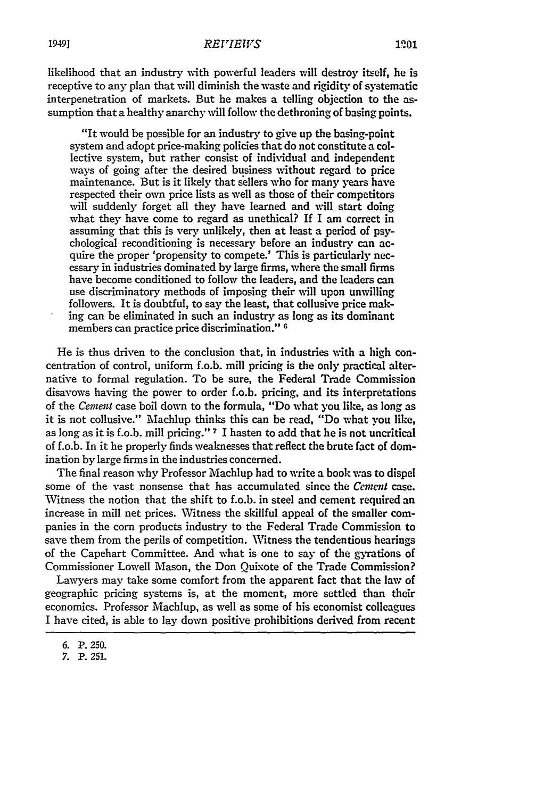likelihood that an industry with powerful leaders will destroy itself, he is receptive to any plan that will diminish the waste and rigidity of systematic interpenetration of markets. But he makes a telling objection to the assumption that a healthy anarchy will follow the dethroning of basing points.

"It would be possible for an industry to give up the basing-point system and adopt price-making policies that do not constitute a collective system, but rather consist of individual and independent ways of going after the desired business without regard to price maintenance. But is it likely that sellers who for many years have respected their own price lists as well as those of their competitors will suddenly forget all they have learned and will start doing what they have come to regard as unethical? If I am correct in assuming that this is very unlikely, then at least a period of psychological reconditioning is necessary before an industry can acquire the proper 'propensity to compete.' This is particularly necessary in industries dominated by large firms, where the small firms have become conditioned to follow the leaders, and the leaders can use discriminatory methods of imposing their will upon unwilling followers. It is doubtful, to say the least, that collusive price making can be eliminated in such an industry as long as its dominant members can practice price discrimination." <sup>6</sup>

He is thus driven to the conclusion that, in industries with a high concentration of control, uniform f.o.b. mill pricing is the only practical alternative to formal regulation. To be sure, the Federal Trade Commission disavows having the power to order f.o.b. pricing, and its interpretations of the *Cement* case boil down to the formula, "Do what you like, as long as it is not collusive." Machlup thinks this can be read, "Do what you like, as long as it is f.o.b. mill pricing." **7** I hasten to add that he is not uncritical of f.o.b. In it he properly finds weaknesses that reflect the brute fact of domination by large firms in the industries concerned.

The final reason why Professor Machlup had to write a book was to dispel some of the vast nonsense that has accumulated since the *Cement* case. Witness the notion that the shift to f.o.b. in steel and cement required an increase in mill net prices. Witness the skillful appeal of the smaller companies in the corn products industry to the Federal Trade Commission to save them from the perils of competition. Witness the tendentious hearings of the Capehart Committee. And what is one to say of the gyrations of Commissioner Lowell Mason, the Don Quixote of the Trade Commission?

Lawyers may take some comfort from the apparent fact that the law of geographic pricing systems is, at the moment, more settled than their economics. Professor Machlup, as well as some of his economist colleagues I have cited, is able to lay down positive prohibitions derived from recent

**<sup>6.</sup>** P. **250.**

**<sup>7.</sup>** P. 251.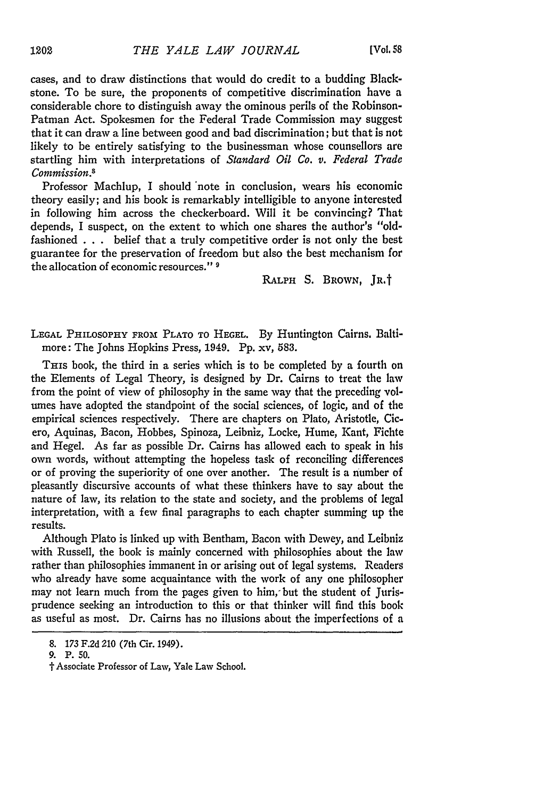cases, and to draw distinctions that would do credit to a budding Blackstone. To be sure, the proponents of competitive discrimination have a considerable chore to distinguish away the ominous perils of the Robinson-Patman Act. Spokesmen for the Federal Trade Commission may suggest that it can draw a line between good and bad discrimination; but that is not likely to be entirely satisfying to the businessman whose counsellors are startling him with interpretations of *Standard Oil Co. v. Federal Trade Commission."*

Professor Machlup, I should 'note in conclusion, wears his economic theory easily; and his book is remarkably intelligible to anyone interested in following him across the checkerboard. Will it be convincing? That depends, I suspect, on the extent to which one shares the author's "oldfashioned . . . belief that a truly competitive order is not only the best guarantee for the preservation of freedom but also the best mechanism for the allocation of economic resources." **9**

RALPH S. BROWN, JR.t

**LEGAL** PHILOSOPHY FROM PLATO To **HEGEL.** By Huntington Cairns. Baltimore: The Johns Hopkins Press, 1949. **Pp.** xv, 583.

THIS book, the third in a series which is to be completed by a fourth on the Elements of Legal Theory, is designed by Dr. Cairns to treat the law from the point of view of philosophy in the same way that the preceding volumes have adopted the standpoint of the social sciences, of logic, and of the empirical sciences respectively. There are chapters on Plato, Aristotle, Cicero, Aquinas, Bacon, Hobbes, Spinoza, Leibniz, Locke, Hume, Kant, Fichte and Hegel. As far as possible Dr. Cairns has allowed each to speak in his own words, without attempting the hopeless task of reconciling differences or of proving the superiority of one over another. The result is a number of pleasantly discursive accounts of what these thinkers have to say about the nature of law, its relation to the state and society, and the problems of legal interpretation, with a few final paragraphs to each chapter summing up the results.

Although Plato is linked up with Bentham, Bacon with Dewey, and Leibniz with Russell, the book is mainly concerned with philosophies about the law rather than philosophies immanent in or arising out of legal systems. Readers who already have some acquaintance with the work of any one philosopher may not learn much from the pages given to him; but the student of Jurisprudence seeking an introduction to this or that thinker will find this book as useful as most. Dr. Cairns has no illusions about the imperfections of a

<sup>8. 173</sup> F.2d 210 (7th Cir. 1949).

<sup>9.</sup> **P. 50.**

 $\dagger$  Associate Professor of Law, Yale Law School.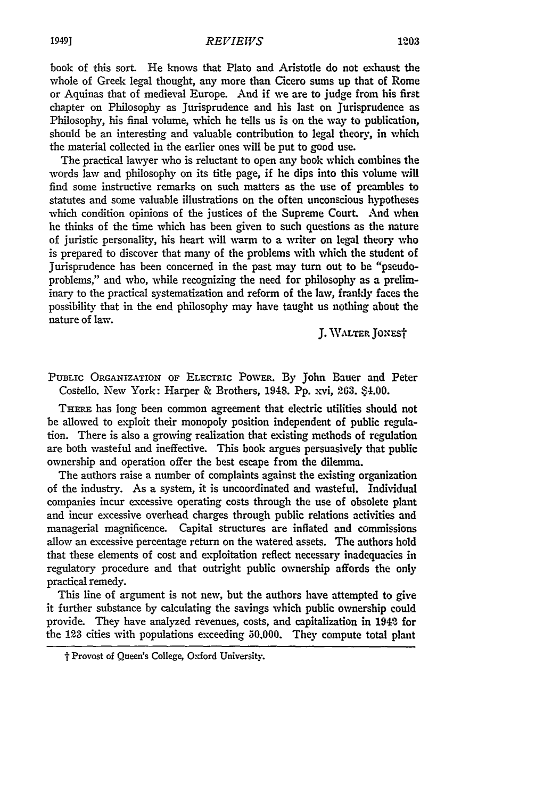book of this sort. He knows that Plato and Aristotle do not exhaust the whole of Greek legal thought, any more than Cicero sums up that of Rome or Aquinas that of medieval Europe. And if we are to judge from his first chapter on Philosophy as jurisprudence and his last on Jurisprudence as Philosophy, his final volume, which he tells us is on the way to publication, should be an interesting and valuable contribution to legal theory, in which the material collected in the earlier ones will be put to good use.

The practical lawyer who is reluctant to open any book which combines the words law and philosophy on its title page, if he dips into this volume vill find some instructive remarks on such matters as the use of preambles to statutes and some valuable illustrations on the often unconscious hypotheses which condition opinions of the justices of the Supreme Court. And when he thinks of the time which has been given to such questions as the nature of juristic personality, his heart will warm to a writer on legal theory who is prepared to discover that many of the problems with which the student of Jurisprudence has been concerned in the past may turn out to be "pseudoproblems," and who, while recognizing the need for philosophy as a preliminary to the practical systematization and reform of the law, frankly faces the possibility that in the end philosophy may have taught us nothing about the nature of law.

**J. WALTEr JoxEsT**

PUBLIC ORGANIZATION OF ELECTRIC PowER. By John Bauer and Peter Costello. New York: Harper & Brothers, 1948. **Pp.** xvi, **263.** \$4.00.

THERE has long been common agreement that electric utilities should not be allowed to exploit their monopoly position independent of public regulation. There is also a growing realization that existing methods of regulation are both wasteful and ineffective. This book argues persuasively that public ownership and operation offer the best escape from the dilemma.

The authors raise a number of complaints against the existing organization of the industry. As a system, it is uncoordinated and vasteful. Individual companies incur excessive operating costs through the use of obsolete plant and incur excessive overhead charges through public relations activities and managerial magnificence. Capital structures are inflated and commissions allow an excessive percentage return on the watered assets. The authors hold that these elements of cost and exploitation reflect necessary inadequacies in regulatory procedure and that outright public ownership affords the only practical remedy.

This line of argument is not new, but the authors have attempted to give it further substance **by** calculating the savings which public ownership could provide. They have analyzed revenues, costs, and capitalization in 1942 for the **123** cities with populations exceeding 50.000. They compute total plant

**<sup>&#</sup>x27;I** Provost of **Queen's** College, Oxford University.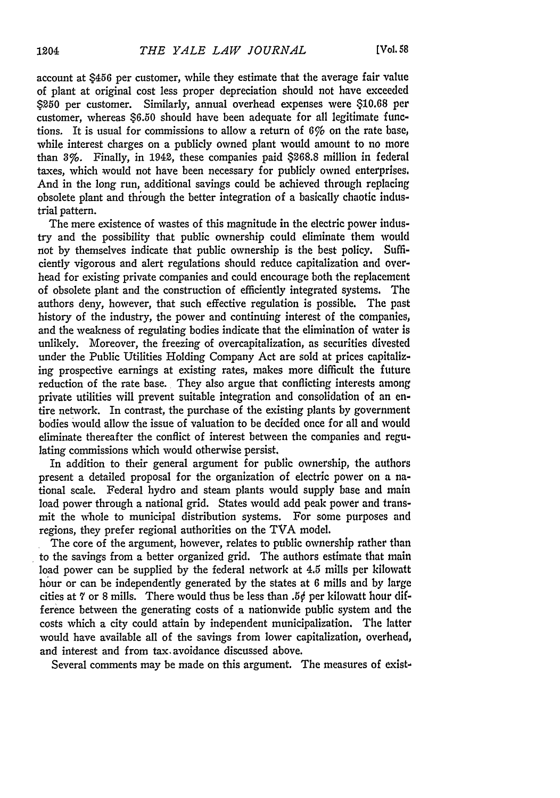account at \$456 per customer, while they estimate that the average fair value of plant at original cost less proper depreciation should not have exceeded \$250 per customer. Similarly, annual overhead expenses were \$10.68 per customer, whereas \$6.50 should have been adequate for all legitimate functions. It is usual for commissions to allow a return of *6%o* on the rate base, while interest charges on a publicly owned plant would amount to no more than 3%. Finally, in 1942, these companies paid \$268.8 million in federal taxes, which would not have been necessary for publicly owned enterprises. And in the long run, additional savings could be achieved through replacing obsolete plant and through the better integration of a basically chaotic industrial pattern.

The mere existence of wastes of this magnitude in the electric power industry and the possibility that public ownership could eliminate them would *not* by themselves indicate that public ownership is the best policy. Sufficiently vigorous and alert regulations should reduce capitalization and overhead for existing private companies and could encourage both the replacement of obsolete plant and the construction of efficiently integrated systems. The authors deny, however, that such effective regulation is possible. The past history of the industry, the power and continuing interest of the companies, and the weakness of regulating bodies indicate that the elimination of water is unlikely. Moreover, the freezing of overcapitalization, as securities divested under the Public Utilities Holding Company Act are sold at prices capitalizing prospective earnings at existing rates, makes more difficult the future reduction of the rate base. They also argue that conflicting interests among private utilities will prevent suitable integration and consolidation of an entire network. In contrast, the purchase of the existing plants by government bodies would allow the issue of valuation to be decided once for all and would eliminate thereafter the conflict of interest between the companies and regulating commissions which would otherwise persist.

In addition to their general argument for public ownership, the authors present a detailed proposal for the organization of electric power on a national scale. Federal hydro and steam plants would supply base and main load power through a national grid. States would add peak power and transmit the whole to municipal distribution systems. For some purposes and regions, they prefer regional authorities on the TVA model.

The core of the argument, however, relates to public ownership rather than to the savings from a better organized grid. The authors estimate that main load power can be supplied by the federal network at 4.5 mills per kilowatt hour or can be independently generated by the states at **6** mills and by large cities at **7** or 8 mills. There would thus be less than **.50** per kilowatt hour difference between the generating costs of a nationwide public system and the costs which a city could attain by independent municipalization. The latter would have available all of the savings from lower capitalization, overhead, and interest and from tax.avoidance discussed above.

Several comments may be made on this argument. The measures of exist-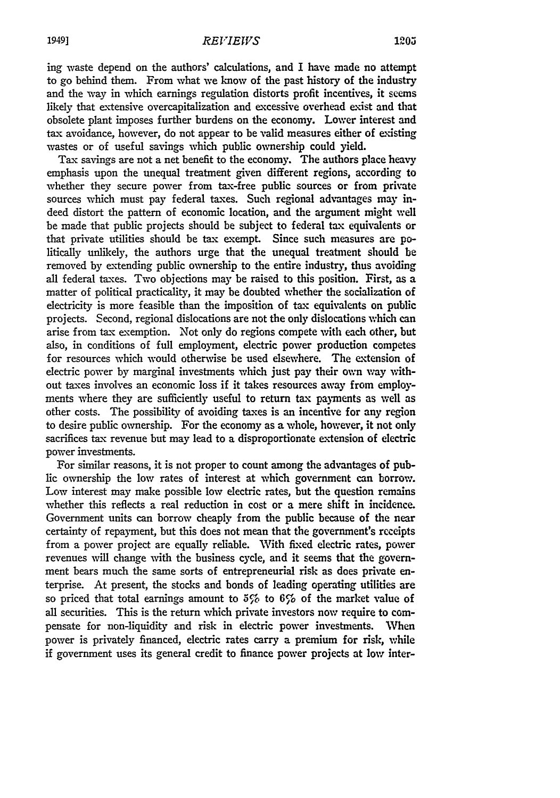ing waste depend on the authors' calculations, and I have made no attempt to go behind them. From what we know of the past history of the industry and the way in which earnings regulation distorts profit incentives, it seems likely that extensive overcapitalization and excessive overhead exist and that obsolete plant imposes further burdens on the economy. Lower interest and tax avoidance, however, do not appear to be valid measures either of existing wastes or of useful savings which public ownership could yield.

Tax savings are not a net benefit to the economy. The authors place heavy emphasis upon the unequal treatment given different regions, according to whether they secure power from tax-free public sources or from private sources which must pay federal taxes. Such regional advantages may indeed distort the pattern of economic location, and the argument might well be made that public projects should be subject to federal tax equivalents or that private utilities should be tax exempt. Since such measures are politically unlikely, the authors urge that the unequal treatment should be removed by extending public ownership to the entire industry, thus avoiding all federal taxes. Two objections may be raised to this position. First, as a matter of political practicality, it may be doubted whether the socialization of electricity is more feasible than the imposition of tax equivalents on public projects. Second, regional dislocations are not the only dislocations which can arise from tax exemption. Not only do regions compete with each other, but also, in conditions of full employment, electric power production competes for resources which would otherwise be used elsewhere. The extension of electric power by marginal investments which just pay their own way without taxes involves an economic loss if it takes resources away from employments where they are sufficiently useful to return tax payments as well as other costs. The possibility of avoiding taxes is an incentive for any region to desire public ownership. For the economy as a whole, however, it not only sacrifices tax revenue but may lead to a disproportionate extension of electric power investments.

For similar reasons, it is not proper to count among the advantages of public ownership the low rates of interest at which government can borrow. Low interest may make possible low electric rates, but the question remains whether this reflects a real reduction in cost or a mere shift in incidence. Government units can borrow cheaply from the public because of the near certainty of repayment, but this does not mean that the government's receipts from a power project are equally reliable. With fixed electric rates, power revenues will change with the business cycle, and it seems that the government bears much the same sorts of entrepreneurial risk as does private enterprise. At present, the stocks and bonds of leading operating utilities are so priced that total earnings amount to  $5\%$  to  $6\%$  of the market value of all securities. This is the return which private investors now require to compensate for non-liquidity and risk in electric power investments. When power is privately financed, electric rates carry a premium for risk, while if government uses its general credit to finance power projects at low inter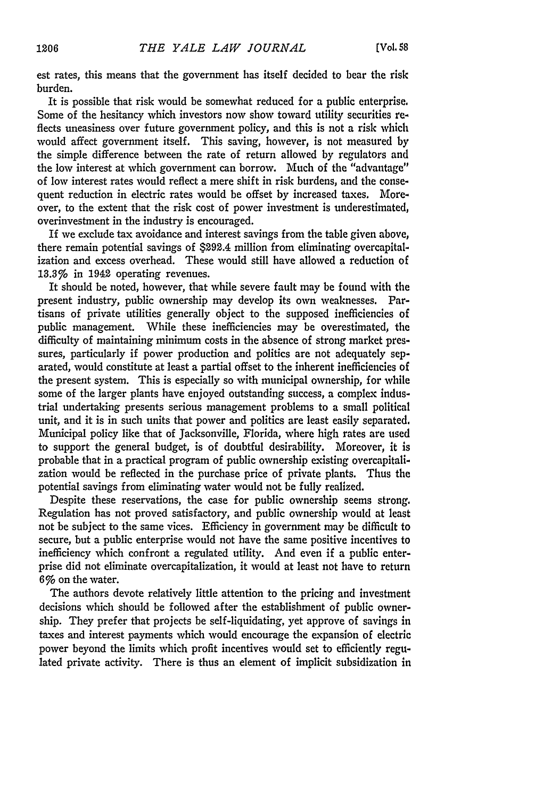est rates, this means that the government has itself decided to bear the risk burden.

It is possible that risk would be somewhat reduced for a public enterprise. Some of the hesitancy which investors now show toward utility securities reflects uneasiness over future government policy, and this is not a risk which would affect government itself. This saving, however, is not measured by the simple difference between the rate of return allowed by regulators and the low interest at which government can borrow. Much of the "advantage" of low interest rates would reflect a mere shift in risk burdens, and the consequent reduction in electric rates would be offset by increased taxes. Moreover, to the extent that the risk cost of power investment is underestimated, overinvestment in the industry is encouraged.

If we exclude tax avoidance and interest savings from the table given above, there remain potential savings of \$292.4 million from eliminating overcapitalization and excess overhead. These would still have allowed a reduction of 13.3% in 1942 operating revenues.

It should be noted, however, that while severe fault may be found with the present industry, public ownership may develop its own weaknesses. Partisans of private utilities generally object to the supposed inefficiencies of public management. While these inefficiencies may be overestimated, the difficulty of maintaining minimum costs in the absence of strong market pressures, particularly if power production and politics are not adequately separated, would constitute at least a partial offset to the inherent inefficiencies of the present system. This is especially so with municipal ownership, for while some of the larger plants have enjoyed outstanding success, a complex industrial undertaking presents serious management problems to a small political unit, and it is in such units that power and politics are least easily separated. Municipal policy like that of Jacksonville, Florida, where high rates are used to support the general budget, is of doubtful desirability. Moreover, it is probable that in a practical program of public ownership existing overcapitalization would be reflected in the purchase price of private plants. Thus the potential savings from eliminating water would not be fully realized.

Despite these reservations, the case for public ownership seems strong. Regulation has not proved satisfactory, and public ownership would at least not be subject to the same vices. Efficiency in government may be difficult to secure, but a public enterprise would not have the same positive incentives to inefficiency which confront a regulated utility. And even if a public enterprise did not eliminate overcapitalization, it would at least not have to return 6% on the water.

The authors devote relatively little attention to the pricing and investment decisions which should be followed after the establishment of public ownership. They prefer that projects be self-liquidating, yet approve of savings in taxes and interest payments which would encourage the expansion of electric power beyond the limits which profit incentives would set to efficiently regulated private activity. There is thus an element of implicit subsidization in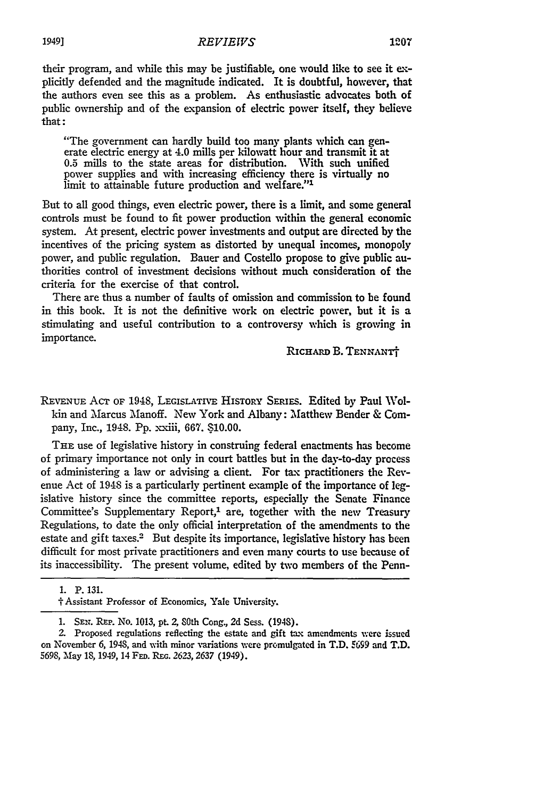## *REVIEWS* **1949] 1207**

their program, and while this may be justifiable, one would like to see it explicitly defended and the magnitude indicated. It is doubtful, however, that the authors even see this as a problem. As enthusiastic advocates both of public ownership and of the expansion of electric power itself, they believe that:

"The government can hardly build too many plants which **can** generate electric energy at 4.0 mills per kilowatt hour and transmit it at 0.5 mills to the state areas for distribution. With such unified  $0.5$  mills to the state areas for distribution. power supplies and with increasing efficiency there is virtually no limit to attainable future production and welfare."<sup>1</sup>

But to all good things, even electric power, there is a limit, and some general controls must be found to fit power production within the general economic system. At present, electric power investments and output are directed by the incentives of the pricing system as distorted by unequal incomes, monopoly power, and public regulation. Bauer and Costello propose to give public authorities control of investment decisions without much consideration of the criteria for the exercise of that control.

There are thus a number of faults of omission and commission to be found in this book. It is not the definitive work on electric power, but it is a stimulating and useful contribution to a controversy which is growing in importance.

RICHARD **B. TENNANT** 

**REVENUE** AcT **OF** 1948, **LEGISLATIvE** HISTORY SERIES. Edited by Paul Wolkin and Marcus Manoff. New York and Albany: Matthew Bender & Company, Inc., 1948. **Pp.** xxiii, 667. **S10.00.**

**THE** use of legislative history in construing federal enactments has become of primary importance not only in court battles but in the day-to-day process of administering a law or advising a client. For tax practitioners the Revenue Act of 1948 is a particularly pertinent example of the importance of **leg**islative history since the committee reports, especially the Senate Finance Committee's Supplementary Report,<sup>1</sup> are, together with the new Treasury Regulations, to date the only official interpretation of the amendments to the estate and gift taxes.<sup>2</sup> But despite its importance, legislative history has been difficult for most private practitioners and even many courts to use because of its inaccessibility. The present volume, edited **by** two members of the Penn-

**<sup>1.</sup>** P. 131.

**<sup>1</sup>** Assistant Professor of Economics, Yale University.

<sup>1.</sup> SEr. REP. No. 1013, pt. Z SOth Cong., 2d Sess. (1948).

<sup>2.</sup> Proposed regulations reflecting the estate and gift tax amendments were issued on November 6, 1948, and with minor variations were promulgated in T.D. **699** and T.D. 5698, May 18, 1949, 14 FFD. **RE.** *2623, 2637* (1949).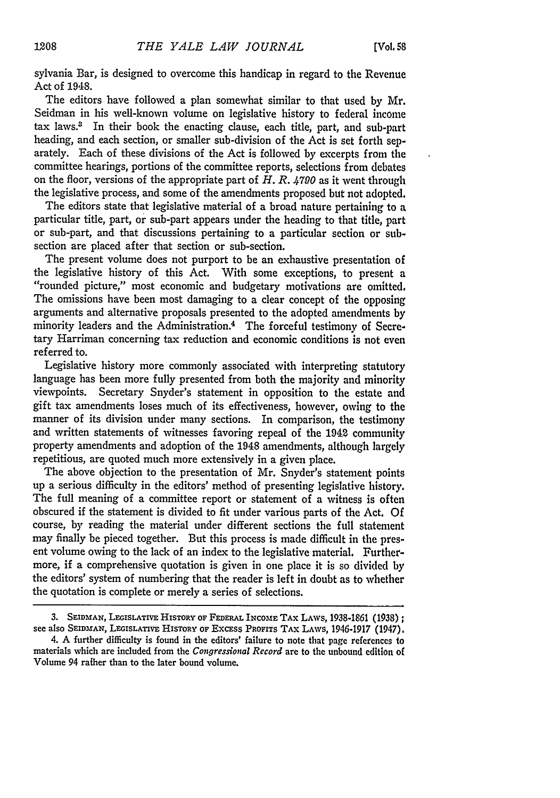sylvania Bar, is designed to overcome this handicap in regard to the Revenue Act of 1948.

The editors have followed a plan somewhat similar to that used by Mr. Seidman in his well-known volume on legislative history to federal income tax laws.3 In their book the enacting clause, each title, part, and sub-part heading, and each section, or smaller sub-division of the Act is set forth separately. Each of these divisions of the Act is followed by excerpts from the committee hearings, portions of the committee reports, selections from debates on the floor, versions of the appropriate part of *H. R. 4790* as it went through the legislative process, and some of the amendments proposed but not adopted.

The editors state that legislative material of a broad nature pertaining to a particular title, part, or sub-part appears under the heading to that title, part or sub-part, and that discussions pertaining to a particular section or subsection are placed after that section or sub-section.

The present volume does not purport to be an exhaustive presentation of the legislative history of this Act. With some exceptions, to present a "rounded picture," most economic and budgetary motivations are omitted. The omissions have been most damaging to a clear concept of the opposing arguments and alternative proposals presented to the adopted amendments by minority leaders and the Administration.<sup>4</sup> The forceful testimony of Secretary Harriman concerning tax reduction and economic conditions is not even referred to.

Legislative history more commonly associated with interpreting statutory language has been more fully presented from both the majority and minority viewpoints. Secretary Snyder's statement in opposition to the estate and gift tax amendments loses much of its effectiveness, however, owing to the manner of its division under many sections. In comparison, the testimony and written statements of witnesses favoring repeal of the 1942 community property amendments and adoption of the 1948 amendments, although largely repetitious, are quoted much more extensively in a given place.

The above objection to the presentation of Mr. Snyder's statement points up a serious difficulty in the editors' method of presenting legislative history. The full meaning of a committee report or statement of a witness is often obscured if the statement is divided to fit under various parts of the Act. Of course, by reading the material under different sections the full statement may finally be pieced together. But this process is made difficult in the present volume owing to the lack of an index to the legislative material. Furthermore, if a comprehensive quotation is given in one place it is so divided by the editors' system of numbering that the reader is left in doubt as to whether the quotation is complete or merely a series of selections.

<sup>3.</sup> **SEIDMAN,** LEGIsLATrvE **HISTORY OF FEDERAL INCOME TAX LAWS,** 1938-1861 **(1938);** see also **SEIDMAN, LEGISLATIvE** HISTORY **OF Excass PROFITS** TAX LAWS, 1946-1917 (1947).

<sup>4.</sup> A further difficulty is found in the editors' failure to note that page references **to** materials which are included from the *Congressional Record* are to the unbound edition **of** Volume 94 rather than to the later bound volume.